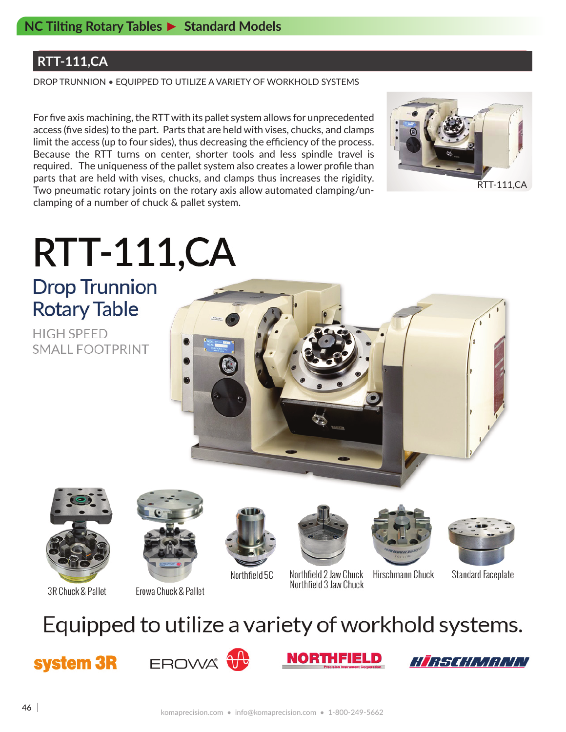### **RTT-111,CA**

DROP TRUNNION • EQUIPPED TO UTILIZE A VARIETY OF WORKHOLD SYSTEMS

For five axis machining, the RTT with its pallet system allows for unprecedented access (five sides) to the part. Parts that are held with vises, chucks, and clamps limit the access (up to four sides), thus decreasing the efficiency of the process. Because the RTT turns on center, shorter tools and less spindle travel is required. The uniqueness of the pallet system also creates a lower profile than parts that are held with vises, chucks, and clamps thus increases the rigidity. Two pneumatic rotary joints on the rotary axis allow automated clamping/unclamping of a number of chuck & pallet system.



# **RTT-111,CA**

**Drop Trunnion Rotary Table** 

**HIGH SPEED** SMALL FOOTPRINT





3R Chuck & Pallet

Erowa Chuck & Pallet



Northfield 5C



Hirschmann Chuck Northfield 2 Jaw Chuck Northfield 3 Jaw Chuck



**Standard Faceplate** 

## Equipped to utilize a variety of workhold systems.